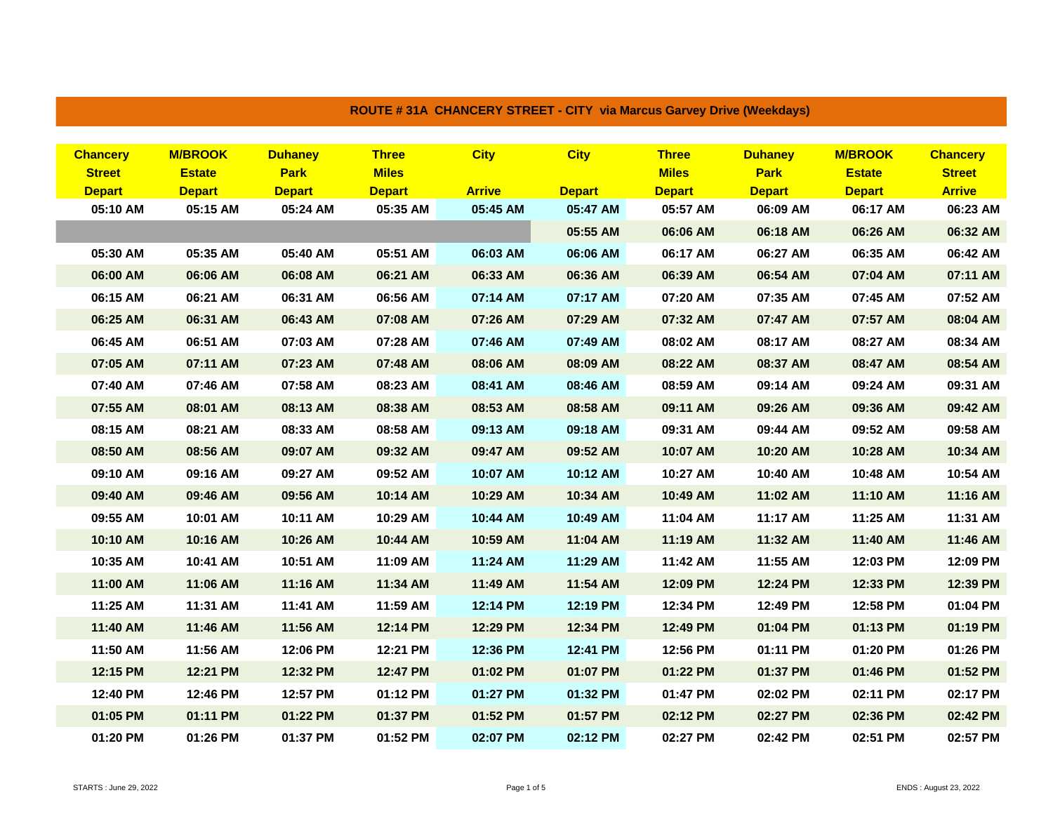| <b>Chancery</b> | <b>M/BROOK</b> | <b>Duhaney</b> | <b>Three</b>  | <b>City</b>   | <b>City</b>   | <b>Three</b>  | <b>Duhaney</b> | <b>M/BROOK</b> | <b>Chancery</b> |
|-----------------|----------------|----------------|---------------|---------------|---------------|---------------|----------------|----------------|-----------------|
| <b>Street</b>   | <b>Estate</b>  | <b>Park</b>    | <b>Miles</b>  |               |               | <b>Miles</b>  | <b>Park</b>    | <b>Estate</b>  | <b>Street</b>   |
| <b>Depart</b>   | <b>Depart</b>  | <b>Depart</b>  | <b>Depart</b> | <b>Arrive</b> | <b>Depart</b> | <b>Depart</b> | <b>Depart</b>  | <b>Depart</b>  | <b>Arrive</b>   |
| 05:10 AM        | 05:15 AM       | 05:24 AM       | 05:35 AM      | 05:45 AM      | 05:47 AM      | 05:57 AM      | 06:09 AM       | 06:17 AM       | 06:23 AM        |
|                 |                |                |               |               | 05:55 AM      | 06:06 AM      | 06:18 AM       | 06:26 AM       | 06:32 AM        |
| 05:30 AM        | 05:35 AM       | 05:40 AM       | 05:51 AM      | 06:03 AM      | 06:06 AM      | 06:17 AM      | 06:27 AM       | 06:35 AM       | 06:42 AM        |
| 06:00 AM        | 06:06 AM       | 06:08 AM       | 06:21 AM      | 06:33 AM      | 06:36 AM      | 06:39 AM      | 06:54 AM       | 07:04 AM       | 07:11 AM        |
| 06:15 AM        | 06:21 AM       | 06:31 AM       | 06:56 AM      | 07:14 AM      | 07:17 AM      | 07:20 AM      | 07:35 AM       | 07:45 AM       | 07:52 AM        |
| 06:25 AM        | 06:31 AM       | 06:43 AM       | 07:08 AM      | 07:26 AM      | 07:29 AM      | 07:32 AM      | 07:47 AM       | 07:57 AM       | 08:04 AM        |
| 06:45 AM        | 06:51 AM       | 07:03 AM       | 07:28 AM      | 07:46 AM      | 07:49 AM      | 08:02 AM      | 08:17 AM       | 08:27 AM       | 08:34 AM        |
| 07:05 AM        | 07:11 AM       | 07:23 AM       | 07:48 AM      | 08:06 AM      | 08:09 AM      | 08:22 AM      | 08:37 AM       | 08:47 AM       | 08:54 AM        |
| 07:40 AM        | 07:46 AM       | 07:58 AM       | 08:23 AM      | 08:41 AM      | 08:46 AM      | 08:59 AM      | 09:14 AM       | 09:24 AM       | 09:31 AM        |
| 07:55 AM        | 08:01 AM       | 08:13 AM       | 08:38 AM      | 08:53 AM      | 08:58 AM      | 09:11 AM      | 09:26 AM       | 09:36 AM       | 09:42 AM        |
| 08:15 AM        | 08:21 AM       | 08:33 AM       | 08:58 AM      | 09:13 AM      | 09:18 AM      | 09:31 AM      | 09:44 AM       | 09:52 AM       | 09:58 AM        |
| 08:50 AM        | 08:56 AM       | 09:07 AM       | 09:32 AM      | 09:47 AM      | 09:52 AM      | 10:07 AM      | 10:20 AM       | 10:28 AM       | 10:34 AM        |
| 09:10 AM        | 09:16 AM       | 09:27 AM       | 09:52 AM      | 10:07 AM      | 10:12 AM      | 10:27 AM      | 10:40 AM       | 10:48 AM       | 10:54 AM        |
| 09:40 AM        | 09:46 AM       | 09:56 AM       | 10:14 AM      | 10:29 AM      | 10:34 AM      | 10:49 AM      | 11:02 AM       | 11:10 AM       | 11:16 AM        |
| 09:55 AM        | 10:01 AM       | 10:11 AM       | 10:29 AM      | 10:44 AM      | 10:49 AM      | 11:04 AM      | 11:17 AM       | 11:25 AM       | 11:31 AM        |
| 10:10 AM        | 10:16 AM       | 10:26 AM       | 10:44 AM      | 10:59 AM      | 11:04 AM      | 11:19 AM      | 11:32 AM       | 11:40 AM       | 11:46 AM        |
| 10:35 AM        | 10:41 AM       | 10:51 AM       | 11:09 AM      | 11:24 AM      | 11:29 AM      | 11:42 AM      | 11:55 AM       | 12:03 PM       | 12:09 PM        |
| 11:00 AM        | 11:06 AM       | 11:16 AM       | 11:34 AM      | 11:49 AM      | 11:54 AM      | 12:09 PM      | 12:24 PM       | 12:33 PM       | 12:39 PM        |
| 11:25 AM        | 11:31 AM       | 11:41 AM       | 11:59 AM      | 12:14 PM      | 12:19 PM      | 12:34 PM      | 12:49 PM       | 12:58 PM       | 01:04 PM        |
| 11:40 AM        | 11:46 AM       | 11:56 AM       | 12:14 PM      | 12:29 PM      | 12:34 PM      | 12:49 PM      | 01:04 PM       | 01:13 PM       | 01:19 PM        |
| 11:50 AM        | 11:56 AM       | 12:06 PM       | 12:21 PM      | 12:36 PM      | 12:41 PM      | 12:56 PM      | 01:11 PM       | 01:20 PM       | 01:26 PM        |
| 12:15 PM        | 12:21 PM       | 12:32 PM       | 12:47 PM      | 01:02 PM      | 01:07 PM      | 01:22 PM      | 01:37 PM       | 01:46 PM       | 01:52 PM        |
| 12:40 PM        | 12:46 PM       | 12:57 PM       | 01:12 PM      | 01:27 PM      | 01:32 PM      | 01:47 PM      | 02:02 PM       | 02:11 PM       | 02:17 PM        |
| 01:05 PM        | 01:11 PM       | 01:22 PM       | 01:37 PM      | 01:52 PM      | 01:57 PM      | 02:12 PM      | 02:27 PM       | 02:36 PM       | 02:42 PM        |
| 01:20 PM        | 01:26 PM       | 01:37 PM       | 01:52 PM      | 02:07 PM      | 02:12 PM      | 02:27 PM      | 02:42 PM       | 02:51 PM       | 02:57 PM        |

## **ROUTE # 31A CHANCERY STREET - CITY via Marcus Garvey Drive (Weekdays)**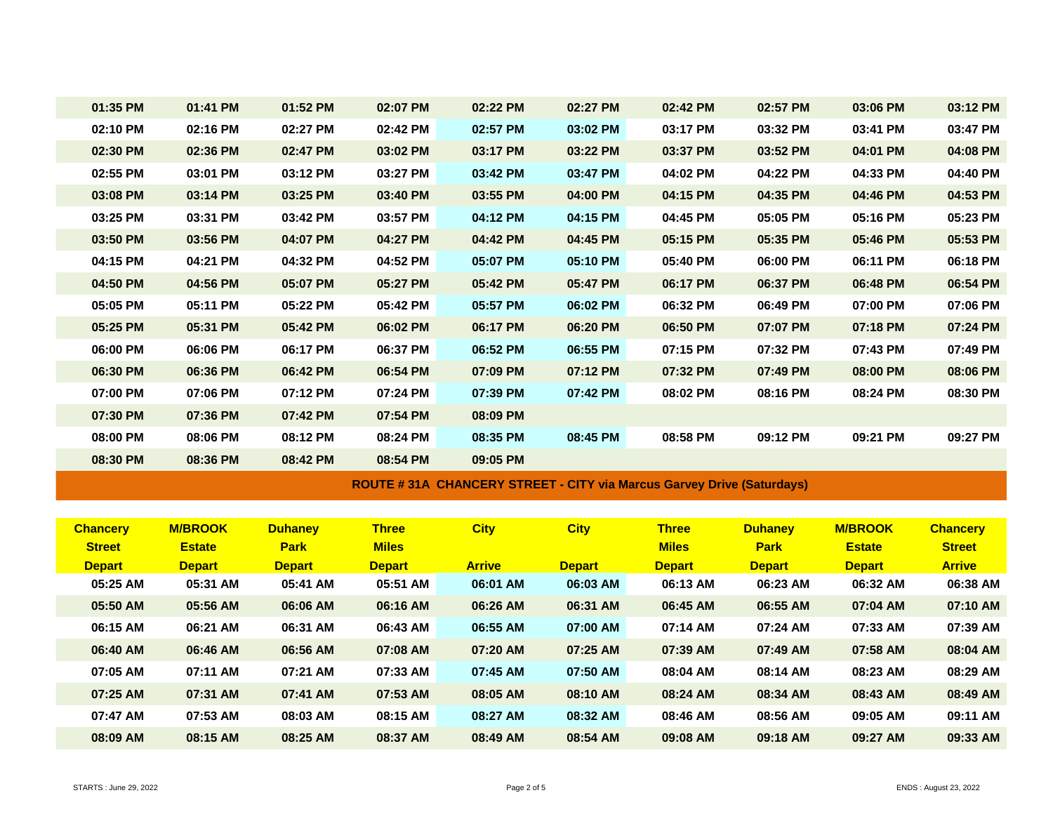| 01:35 PM | 01:41 PM | 01:52 PM | 02:07 PM | 02:22 PM | 02:27 PM | 02:42 PM | 02:57 PM | 03:06 PM | 03:12 PM |
|----------|----------|----------|----------|----------|----------|----------|----------|----------|----------|
| 02:10 PM | 02:16 PM | 02:27 PM | 02:42 PM | 02:57 PM | 03:02 PM | 03:17 PM | 03:32 PM | 03:41 PM | 03:47 PM |
| 02:30 PM | 02:36 PM | 02:47 PM | 03:02 PM | 03:17 PM | 03:22 PM | 03:37 PM | 03:52 PM | 04:01 PM | 04:08 PM |
| 02:55 PM | 03:01 PM | 03:12 PM | 03:27 PM | 03:42 PM | 03:47 PM | 04:02 PM | 04:22 PM | 04:33 PM | 04:40 PM |
| 03:08 PM | 03:14 PM | 03:25 PM | 03:40 PM | 03:55 PM | 04:00 PM | 04:15 PM | 04:35 PM | 04:46 PM | 04:53 PM |
| 03:25 PM | 03:31 PM | 03:42 PM | 03:57 PM | 04:12 PM | 04:15 PM | 04:45 PM | 05:05 PM | 05:16 PM | 05:23 PM |
| 03:50 PM | 03:56 PM | 04:07 PM | 04:27 PM | 04:42 PM | 04:45 PM | 05:15 PM | 05:35 PM | 05:46 PM | 05:53 PM |
| 04:15 PM | 04:21 PM | 04:32 PM | 04:52 PM | 05:07 PM | 05:10 PM | 05:40 PM | 06:00 PM | 06:11 PM | 06:18 PM |
| 04:50 PM | 04:56 PM | 05:07 PM | 05:27 PM | 05:42 PM | 05:47 PM | 06:17 PM | 06:37 PM | 06:48 PM | 06:54 PM |
| 05:05 PM | 05:11 PM | 05:22 PM | 05:42 PM | 05:57 PM | 06:02 PM | 06:32 PM | 06:49 PM | 07:00 PM | 07:06 PM |
| 05:25 PM | 05:31 PM | 05:42 PM | 06:02 PM | 06:17 PM | 06:20 PM | 06:50 PM | 07:07 PM | 07:18 PM | 07:24 PM |
| 06:00 PM | 06:06 PM | 06:17 PM | 06:37 PM | 06:52 PM | 06:55 PM | 07:15 PM | 07:32 PM | 07:43 PM | 07:49 PM |
| 06:30 PM | 06:36 PM | 06:42 PM | 06:54 PM | 07:09 PM | 07:12 PM | 07:32 PM | 07:49 PM | 08:00 PM | 08:06 PM |
| 07:00 PM | 07:06 PM | 07:12 PM | 07:24 PM | 07:39 PM | 07:42 PM | 08:02 PM | 08:16 PM | 08:24 PM | 08:30 PM |
| 07:30 PM | 07:36 PM | 07:42 PM | 07:54 PM | 08:09 PM |          |          |          |          |          |
| 08:00 PM | 08:06 PM | 08:12 PM | 08:24 PM | 08:35 PM | 08:45 PM | 08:58 PM | 09:12 PM | 09:21 PM | 09:27 PM |
| 08:30 PM | 08:36 PM | 08:42 PM | 08:54 PM | 09:05 PM |          |          |          |          |          |

**ROUTE # 31A CHANCERY STREET - CITY via Marcus Garvey Drive (Saturdays)**

| <b>Chancery</b> | <b>M/BROOK</b> | <b>Duhanev</b> | <b>Three</b>  | <b>City</b>   | <b>City</b>   | <b>Three</b>  | <b>Duhanev</b> | <b>M/BROOK</b> | <b>Chancerv</b> |
|-----------------|----------------|----------------|---------------|---------------|---------------|---------------|----------------|----------------|-----------------|
| <b>Street</b>   | <b>Estate</b>  | <b>Park</b>    | <b>Miles</b>  |               |               | <b>Miles</b>  | <b>Park</b>    | <b>Estate</b>  | <b>Street</b>   |
| <b>Depart</b>   | <b>Depart</b>  | <b>Depart</b>  | <b>Depart</b> | <b>Arrive</b> | <b>Depart</b> | <b>Depart</b> | <b>Depart</b>  | <b>Depart</b>  | <b>Arrive</b>   |
| 05:25 AM        | 05:31 AM       | 05:41 AM       | 05:51 AM      | 06:01 AM      | 06:03 AM      | 06:13 AM      | 06:23 AM       | 06:32 AM       | 06:38 AM        |
| 05:50 AM        | 05:56 AM       | 06:06 AM       | 06:16 AM      | 06:26 AM      | 06:31 AM      | 06:45 AM      | 06:55 AM       | 07:04 AM       | 07:10 AM        |
| 06:15 AM        | 06:21 AM       | 06:31 AM       | 06:43 AM      | 06:55 AM      | 07:00 AM      | 07:14 AM      | 07:24 AM       | 07:33 AM       | 07:39 AM        |
| 06:40 AM        | 06:46 AM       | 06:56 AM       | 07:08 AM      | 07:20 AM      | 07:25 AM      | 07:39 AM      | 07:49 AM       | 07:58 AM       | 08:04 AM        |
| 07:05 AM        | 07:11 AM       | 07:21 AM       | 07:33 AM      | 07:45 AM      | 07:50 AM      | 08:04 AM      | 08:14 AM       | 08:23 AM       | 08:29 AM        |
| 07:25 AM        | 07:31 AM       | 07:41 AM       | 07:53 AM      | 08:05 AM      | 08:10 AM      | 08:24 AM      | 08:34 AM       | 08:43 AM       | 08:49 AM        |
| 07:47 AM        | 07:53 AM       | 08:03 AM       | 08:15 AM      | 08:27 AM      | 08:32 AM      | 08:46 AM      | 08:56 AM       | 09:05 AM       | 09:11 AM        |
| 08:09 AM        | 08:15 AM       | 08:25 AM       | 08:37 AM      | 08:49 AM      | 08:54 AM      | 09:08 AM      | 09:18 AM       | 09:27 AM       | 09:33 AM        |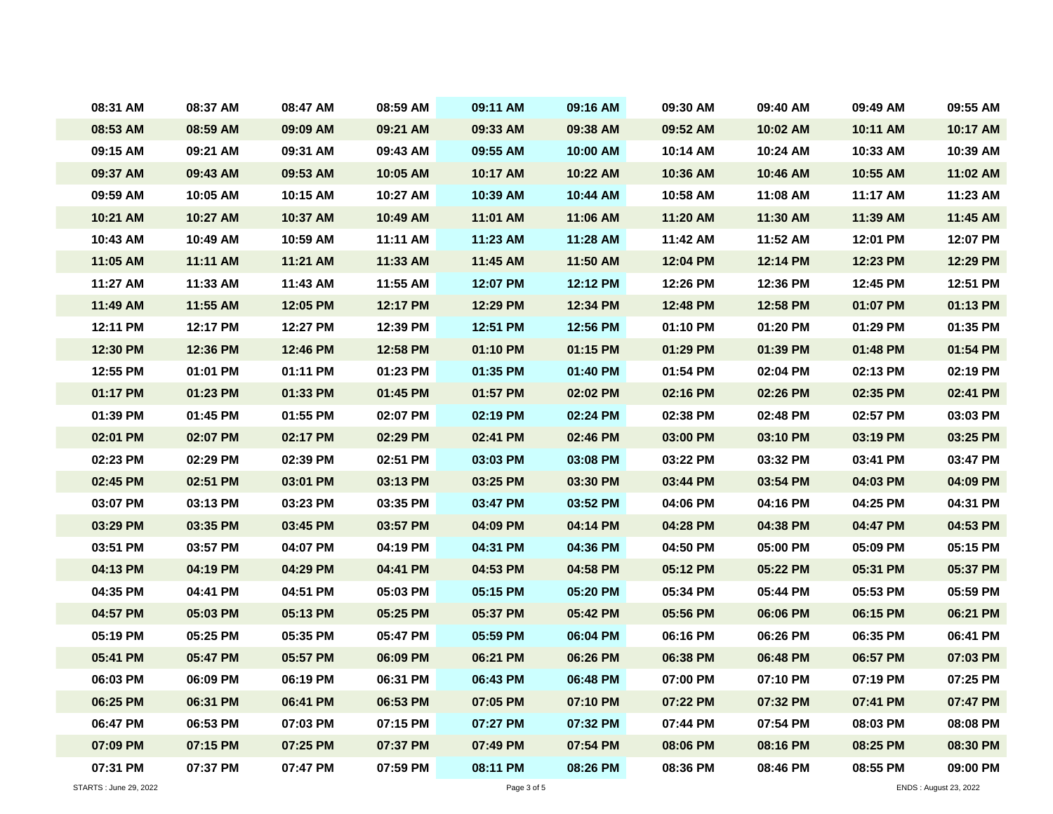| 08:31 AM   | 08:37 AM | 08:47 AM | 08:59 AM   | 09:11 AM   | 09:16 AM   | 09:30 AM | 09:40 AM | 09:49 AM | 09:55 AM |
|------------|----------|----------|------------|------------|------------|----------|----------|----------|----------|
| 08:53 AM   | 08:59 AM | 09:09 AM | 09:21 AM   | 09:33 AM   | 09:38 AM   | 09:52 AM | 10:02 AM | 10:11 AM | 10:17 AM |
| 09:15 AM   | 09:21 AM | 09:31 AM | 09:43 AM   | 09:55 AM   | 10:00 AM   | 10:14 AM | 10:24 AM | 10:33 AM | 10:39 AM |
| 09:37 AM   | 09:43 AM | 09:53 AM | 10:05 AM   | 10:17 AM   | 10:22 AM   | 10:36 AM | 10:46 AM | 10:55 AM | 11:02 AM |
| 09:59 AM   | 10:05 AM | 10:15 AM | 10:27 AM   | 10:39 AM   | 10:44 AM   | 10:58 AM | 11:08 AM | 11:17 AM | 11:23 AM |
| 10:21 AM   | 10:27 AM | 10:37 AM | 10:49 AM   | 11:01 AM   | 11:06 AM   | 11:20 AM | 11:30 AM | 11:39 AM | 11:45 AM |
| 10:43 AM   | 10:49 AM | 10:59 AM | 11:11 AM   | 11:23 AM   | 11:28 AM   | 11:42 AM | 11:52 AM | 12:01 PM | 12:07 PM |
| $11:05$ AM | 11:11 AM | 11:21 AM | $11:33$ AM | $11:45$ AM | 11:50 AM   | 12:04 PM | 12:14 PM | 12:23 PM | 12:29 PM |
| 11:27 AM   | 11:33 AM | 11:43 AM | 11:55 AM   | 12:07 PM   | 12:12 PM   | 12:26 PM | 12:36 PM | 12:45 PM | 12:51 PM |
| 11:49 AM   | 11:55 AM | 12:05 PM | 12:17 PM   | 12:29 PM   | 12:34 PM   | 12:48 PM | 12:58 PM | 01:07 PM | 01:13 PM |
| 12:11 PM   | 12:17 PM | 12:27 PM | 12:39 PM   | 12:51 PM   | 12:56 PM   | 01:10 PM | 01:20 PM | 01:29 PM | 01:35 PM |
| 12:30 PM   | 12:36 PM | 12:46 PM | 12:58 PM   | 01:10 PM   | $01:15$ PM | 01:29 PM | 01:39 PM | 01:48 PM | 01:54 PM |
| 12:55 PM   | 01:01 PM | 01:11 PM | 01:23 PM   | 01:35 PM   | 01:40 PM   | 01:54 PM | 02:04 PM | 02:13 PM | 02:19 PM |
| 01:17 PM   | 01:23 PM | 01:33 PM | 01:45 PM   | 01:57 PM   | 02:02 PM   | 02:16 PM | 02:26 PM | 02:35 PM | 02:41 PM |
| 01:39 PM   | 01:45 PM | 01:55 PM | 02:07 PM   | 02:19 PM   | 02:24 PM   | 02:38 PM | 02:48 PM | 02:57 PM | 03:03 PM |
| 02:01 PM   | 02:07 PM | 02:17 PM | 02:29 PM   | 02:41 PM   | 02:46 PM   | 03:00 PM | 03:10 PM | 03:19 PM | 03:25 PM |
| 02:23 PM   | 02:29 PM | 02:39 PM | 02:51 PM   | 03:03 PM   | 03:08 PM   | 03:22 PM | 03:32 PM | 03:41 PM | 03:47 PM |
| 02:45 PM   | 02:51 PM | 03:01 PM | 03:13 PM   | 03:25 PM   | 03:30 PM   | 03:44 PM | 03:54 PM | 04:03 PM | 04:09 PM |
| 03:07 PM   | 03:13 PM | 03:23 PM | 03:35 PM   | 03:47 PM   | 03:52 PM   | 04:06 PM | 04:16 PM | 04:25 PM | 04:31 PM |
| 03:29 PM   | 03:35 PM | 03:45 PM | 03:57 PM   | 04:09 PM   | 04:14 PM   | 04:28 PM | 04:38 PM | 04:47 PM | 04:53 PM |
| 03:51 PM   | 03:57 PM | 04:07 PM | 04:19 PM   | 04:31 PM   | 04:36 PM   | 04:50 PM | 05:00 PM | 05:09 PM | 05:15 PM |
| 04:13 PM   | 04:19 PM | 04:29 PM | 04:41 PM   | 04:53 PM   | 04:58 PM   | 05:12 PM | 05:22 PM | 05:31 PM | 05:37 PM |
| 04:35 PM   | 04:41 PM | 04:51 PM | 05:03 PM   | 05:15 PM   | 05:20 PM   | 05:34 PM | 05:44 PM | 05:53 PM | 05:59 PM |
| 04:57 PM   | 05:03 PM | 05:13 PM | 05:25 PM   | 05:37 PM   | 05:42 PM   | 05:56 PM | 06:06 PM | 06:15 PM | 06:21 PM |
| 05:19 PM   | 05:25 PM | 05:35 PM | 05:47 PM   | 05:59 PM   | 06:04 PM   | 06:16 PM | 06:26 PM | 06:35 PM | 06:41 PM |
| 05:41 PM   | 05:47 PM | 05:57 PM | 06:09 PM   | 06:21 PM   | 06:26 PM   | 06:38 PM | 06:48 PM | 06:57 PM | 07:03 PM |
| 06:03 PM   | 06:09 PM | 06:19 PM | 06:31 PM   | 06:43 PM   | 06:48 PM   | 07:00 PM | 07:10 PM | 07:19 PM | 07:25 PM |
| 06:25 PM   | 06:31 PM | 06:41 PM | 06:53 PM   | 07:05 PM   | 07:10 PM   | 07:22 PM | 07:32 PM | 07:41 PM | 07:47 PM |
| 06:47 PM   | 06:53 PM | 07:03 PM | 07:15 PM   | 07:27 PM   | 07:32 PM   | 07:44 PM | 07:54 PM | 08:03 PM | 08:08 PM |
| 07:09 PM   | 07:15 PM | 07:25 PM | 07:37 PM   | 07:49 PM   | 07:54 PM   | 08:06 PM | 08:16 PM | 08:25 PM | 08:30 PM |
| 07:31 PM   | 07:37 PM | 07:47 PM | 07:59 PM   | 08:11 PM   | 08:26 PM   | 08:36 PM | 08:46 PM | 08:55 PM | 09:00 PM |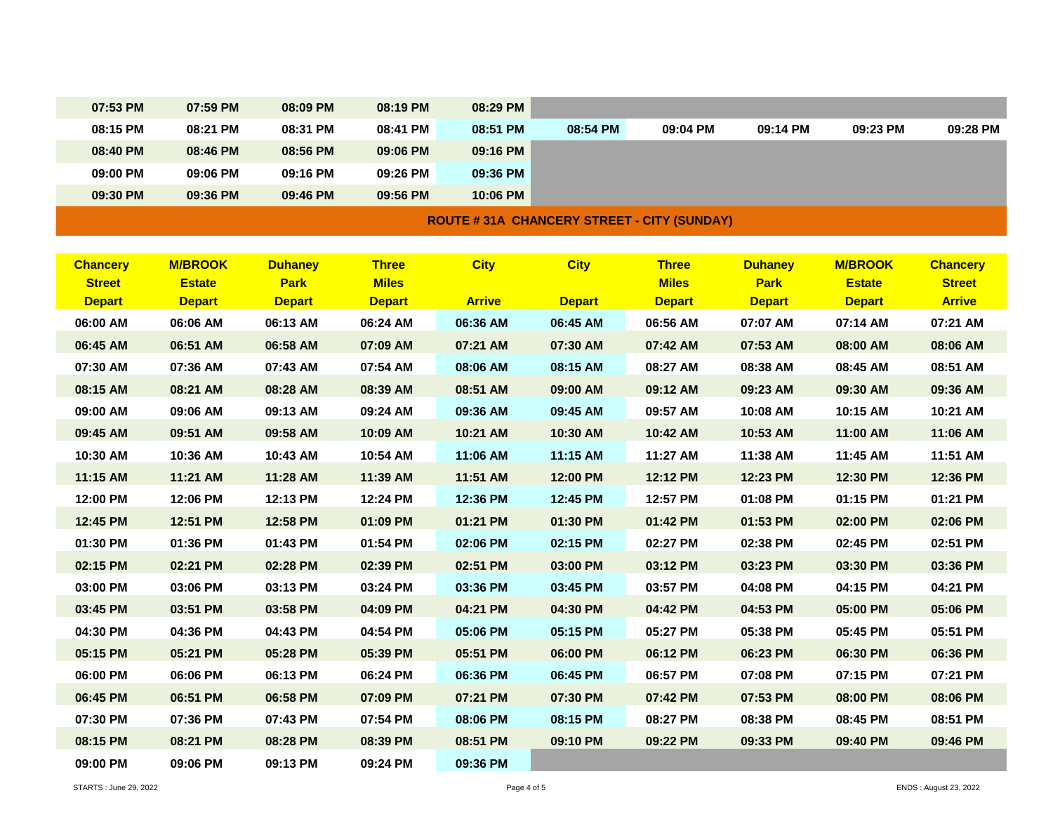| 07:53 PM | 07:59 PM | 08:09 PM | 08:19 PM | 08:29 PM |          |          |          |          |          |
|----------|----------|----------|----------|----------|----------|----------|----------|----------|----------|
| 08:15 PM | 08:21 PM | 08:31 PM | 08:41 PM | 08:51 PM | 08:54 PM | 09:04 PM | 09:14 PM | 09:23 PM | 09:28 PM |
| 08:40 PM | 08:46 PM | 08:56 PM | 09:06 PM | 09:16 PM |          |          |          |          |          |
| 09:00 PM | 09:06 PM | 09:16 PM | 09:26 PM | 09:36 PM |          |          |          |          |          |
| 09:30 PM | 09:36 PM | 09:46 PM | 09:56 PM | 10:06 PM |          |          |          |          |          |
|          |          |          |          |          |          |          |          |          |          |

## **ROUTE # 31A CHANCERY STREET - CITY (SUNDAY)**

| <b>Chancery</b> | <b>M/BROOK</b> | <b>Duhaney</b> | <b>Three</b>  | <b>City</b>   | <b>City</b>   | <b>Three</b>  | <b>Duhaney</b> | <b>M/BROOK</b> | <b>Chancery</b> |
|-----------------|----------------|----------------|---------------|---------------|---------------|---------------|----------------|----------------|-----------------|
| <b>Street</b>   | <b>Estate</b>  | <b>Park</b>    | <b>Miles</b>  |               |               | <b>Miles</b>  | <b>Park</b>    | <b>Estate</b>  | <b>Street</b>   |
| <b>Depart</b>   | <b>Depart</b>  | <b>Depart</b>  | <b>Depart</b> | <b>Arrive</b> | <b>Depart</b> | <b>Depart</b> | <b>Depart</b>  | <b>Depart</b>  | <b>Arrive</b>   |
| 06:00 AM        | 06:06 AM       | 06:13 AM       | 06:24 AM      | 06:36 AM      | 06:45 AM      | 06:56 AM      | 07:07 AM       | 07:14 AM       | 07:21 AM        |
| 06:45 AM        | 06:51 AM       | 06:58 AM       | 07:09 AM      | 07:21 AM      | 07:30 AM      | 07:42 AM      | 07:53 AM       | 08:00 AM       | 08:06 AM        |
| 07:30 AM        | 07:36 AM       | 07:43 AM       | 07:54 AM      | 08:06 AM      | 08:15 AM      | 08:27 AM      | 08:38 AM       | 08:45 AM       | 08:51 AM        |
| 08:15 AM        | 08:21 AM       | 08:28 AM       | 08:39 AM      | 08:51 AM      | 09:00 AM      | 09:12 AM      | 09:23 AM       | 09:30 AM       | 09:36 AM        |
| 09:00 AM        | 09:06 AM       | 09:13 AM       | 09:24 AM      | 09:36 AM      | 09:45 AM      | 09:57 AM      | 10:08 AM       | 10:15 AM       | 10:21 AM        |
| 09:45 AM        | 09:51 AM       | 09:58 AM       | 10:09 AM      | 10:21 AM      | 10:30 AM      | 10:42 AM      | 10:53 AM       | 11:00 AM       | 11:06 AM        |
| 10:30 AM        | 10:36 AM       | 10:43 AM       | 10:54 AM      | 11:06 AM      | 11:15 AM      | 11:27 AM      | 11:38 AM       | 11:45 AM       | 11:51 AM        |
| 11:15 AM        | 11:21 AM       | 11:28 AM       | 11:39 AM      | 11:51 AM      | 12:00 PM      | 12:12 PM      | 12:23 PM       | 12:30 PM       | 12:36 PM        |
| 12:00 PM        | 12:06 PM       | 12:13 PM       | 12:24 PM      | 12:36 PM      | 12:45 PM      | 12:57 PM      | 01:08 PM       | 01:15 PM       | 01:21 PM        |
| 12:45 PM        | 12:51 PM       | 12:58 PM       | 01:09 PM      | 01:21 PM      | 01:30 PM      | 01:42 PM      | 01:53 PM       | 02:00 PM       | 02:06 PM        |
| 01:30 PM        | 01:36 PM       | 01:43 PM       | 01:54 PM      | 02:06 PM      | 02:15 PM      | 02:27 PM      | 02:38 PM       | 02:45 PM       | 02:51 PM        |
| 02:15 PM        | 02:21 PM       | 02:28 PM       | 02:39 PM      | 02:51 PM      | 03:00 PM      | 03:12 PM      | 03:23 PM       | 03:30 PM       | 03:36 PM        |
| 03:00 PM        | 03:06 PM       | 03:13 PM       | 03:24 PM      | 03:36 PM      | 03:45 PM      | 03:57 PM      | 04:08 PM       | 04:15 PM       | 04:21 PM        |
| 03:45 PM        | 03:51 PM       | 03:58 PM       | 04:09 PM      | 04:21 PM      | 04:30 PM      | 04:42 PM      | 04:53 PM       | 05:00 PM       | 05:06 PM        |
| 04:30 PM        | 04:36 PM       | 04:43 PM       | 04:54 PM      | 05:06 PM      | 05:15 PM      | 05:27 PM      | 05:38 PM       | 05:45 PM       | 05:51 PM        |
| 05:15 PM        | 05:21 PM       | 05:28 PM       | 05:39 PM      | 05:51 PM      | 06:00 PM      | 06:12 PM      | 06:23 PM       | 06:30 PM       | 06:36 PM        |
| 06:00 PM        | 06:06 PM       | 06:13 PM       | 06:24 PM      | 06:36 PM      | 06:45 PM      | 06:57 PM      | 07:08 PM       | 07:15 PM       | 07:21 PM        |
| 06:45 PM        | 06:51 PM       | 06:58 PM       | 07:09 PM      | 07:21 PM      | 07:30 PM      | 07:42 PM      | 07:53 PM       | 08:00 PM       | 08:06 PM        |
| 07:30 PM        | 07:36 PM       | 07:43 PM       | 07:54 PM      | 08:06 PM      | 08:15 PM      | 08:27 PM      | 08:38 PM       | 08:45 PM       | 08:51 PM        |
| 08:15 PM        | 08:21 PM       | 08:28 PM       | 08:39 PM      | 08:51 PM      | 09:10 PM      | 09:22 PM      | 09:33 PM       | 09:40 PM       | 09:46 PM        |
| 09:00 PM        | 09:06 PM       | 09:13 PM       | 09:24 PM      | 09:36 PM      |               |               |                |                |                 |